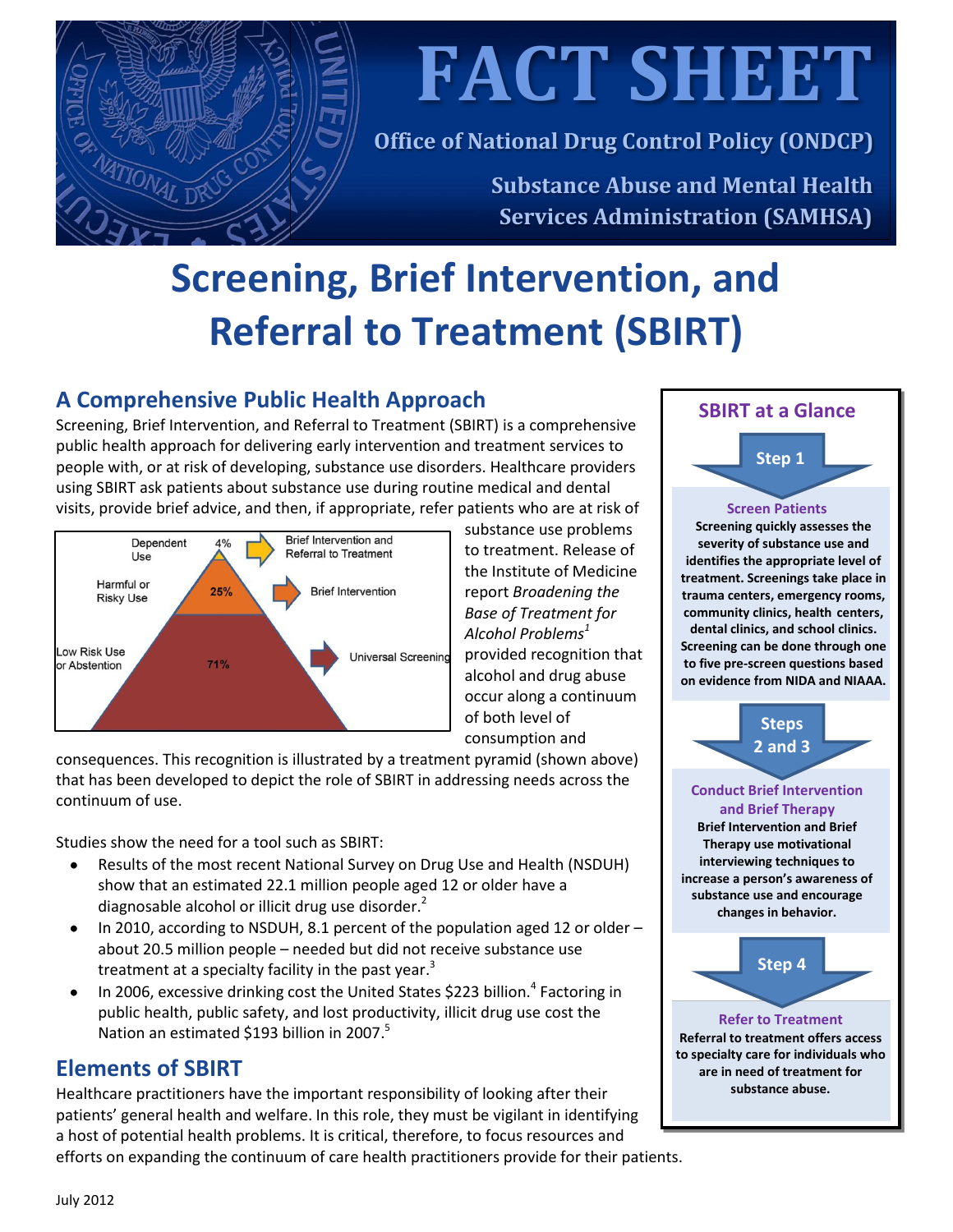

**FACT SHEET**

**Office of National Drug Control Policy (ONDCP)**

**Substance Abuse and Mental Health Services Administration (SAMHSA)**

# **Screening, Brief Intervention, and Referral to Treatment (SBIRT)**

# **A Comprehensive Public Health Approach**

Screening, Brief Intervention, and Referral to Treatment (SBIRT) is a comprehensive public health approach for delivering early intervention and treatment services to people with, or at risk of developing, substance use disorders. Healthcare providers using SBIRT ask patients about substance use during routine medical and dental visits, provide brief advice, and then, if appropriate, refer patients who are at risk of



substance use problems to treatment. Release of the Institute of Medicine report *Broadening the Base of Treatment for Alcohol Problems<sup>1</sup>* provided recognition that alcohol and drug abuse occur along a continuum of both level of consumption and

consequences. This recognition is illustrated by a treatment pyramid (shown above) that has been developed to depict the role of SBIRT in addressing needs across the continuum of use.

Studies show the need for a tool such as SBIRT:

- Results of the most recent National Survey on Drug Use and Health (NSDUH)  $\bullet$ show that an estimated 22.1 million people aged 12 or older have a diagnosable alcohol or illicit drug use disorder. $<sup>2</sup>$ </sup>
- In 2010, according to NSDUH, 8.1 percent of the population aged 12 or older  $\bullet$ about 20.5 million people – needed but did not receive substance use treatment at a specialty facility in the past year.<sup>3</sup>
- In 2006, excessive drinking cost the United States \$223 billion.<sup>4</sup> Factoring in  $\bullet$ public health, public safety, and lost productivity, illicit drug use cost the Nation an estimated \$193 billion in 2007.<sup>5</sup>

## **Elements of SBIRT**

Healthcare practitioners have the important responsibility of looking after their patients' general health and welfare. In this role, they must be vigilant in identifying a host of potential health problems. It is critical, therefore, to focus resources and efforts on expanding the continuum of care health practitioners provide for their patients.

## **SBIRT at a Glance**

**Screen Patients Step 1**

**Screening quickly assesses the severity of substance use and identifies the appropriate level of treatment. Screenings take place in trauma centers, emergency rooms, community clinics, health centers, dental clinics, and school clinics. Screening can be done through one to five pre-screen questions based on evidence from NIDA and NIAAA.**

**Conduct Brief Intervention and Brief Therapy Brief Intervention and Brief Therapy use motivational interviewing techniques to increase a person's awareness of substance use and encourage changes in behavior. Refer to Treatment Referral to treatment offers access to specialty care for individuals who are in need of treatment for substance abuse. Steps 2 and 3 Step 4**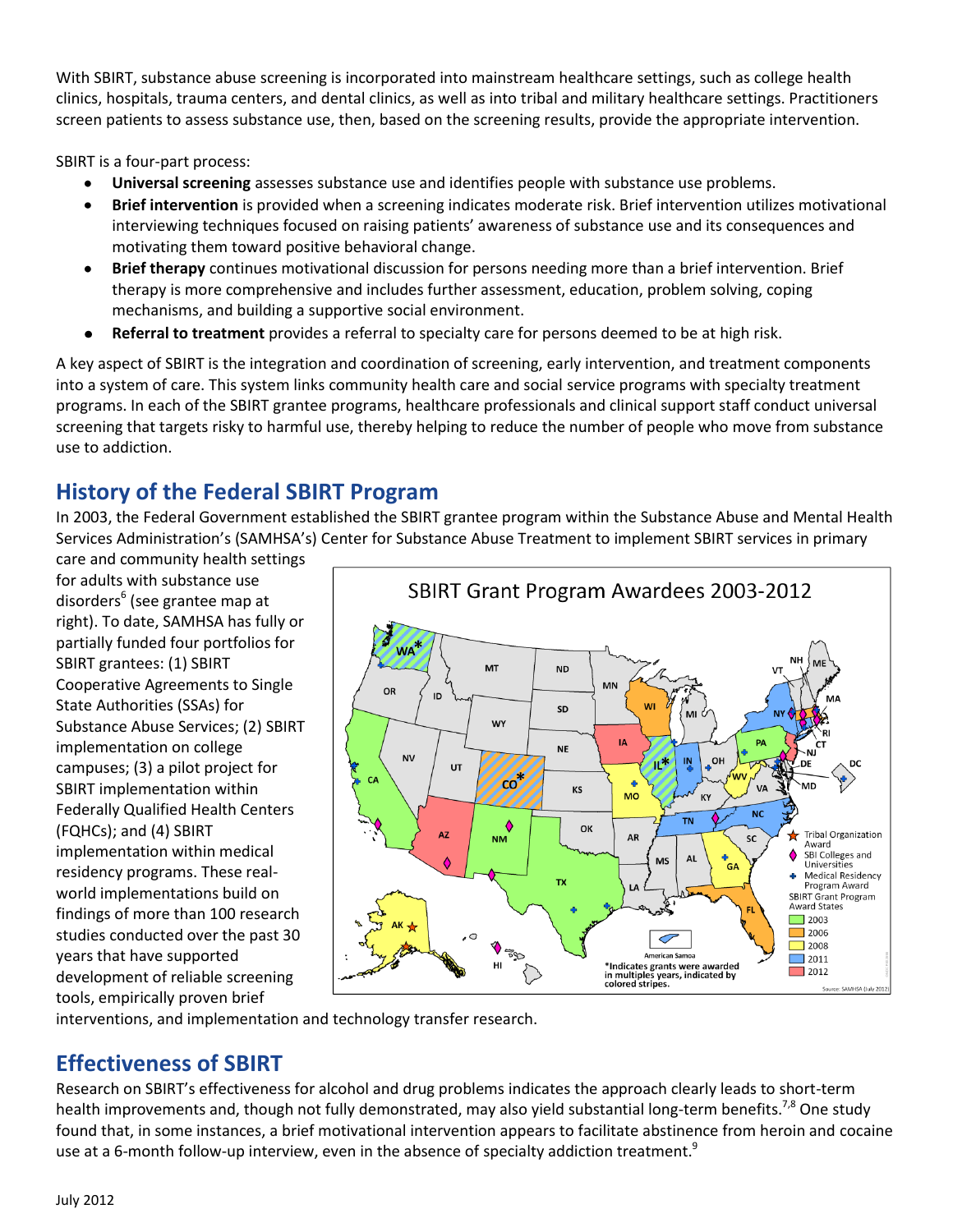With SBIRT, substance abuse screening is incorporated into mainstream healthcare settings, such as college health clinics, hospitals, trauma centers, and dental clinics, as well as into tribal and military healthcare settings. Practitioners screen patients to assess substance use, then, based on the screening results, provide the appropriate intervention.

SBIRT is a four-part process:

- **Universal screening** assesses substance use and identifies people with substance use problems.
- $\bullet$ **Brief intervention** is provided when a screening indicates moderate risk. Brief intervention utilizes motivational interviewing techniques focused on raising patients' awareness of substance use and its consequences and motivating them toward positive behavioral change.
- **Brief therapy** continues motivational discussion for persons needing more than a brief intervention. Brief  $\bullet$ therapy is more comprehensive and includes further assessment, education, problem solving, coping mechanisms, and building a supportive social environment.
- **Referral to treatment** provides a referral to specialty care for persons deemed to be at high risk.  $\bullet$

A key aspect of SBIRT is the integration and coordination of screening, early intervention, and treatment components into a system of care. This system links community health care and social service programs with specialty treatment programs. In each of the SBIRT grantee programs, healthcare professionals and clinical support staff conduct universal screening that targets risky to harmful use, thereby helping to reduce the number of people who move from substance use to addiction.

# **History of the Federal SBIRT Program**

In 2003, the Federal Government established the SBIRT grantee program within the Substance Abuse and Mental Health Services Administration's (SAMHSA's) Center for Substance Abuse Treatment to implement SBIRT services in primary

care and community health settings for adults with substance use disorders<sup>6</sup> (see grantee map at right). To date, SAMHSA has fully or partially funded four portfolios for SBIRT grantees: (1) SBIRT Cooperative Agreements to Single State Authorities (SSAs) for Substance Abuse Services; (2) SBIRT implementation on college campuses; (3) a pilot project for SBIRT implementation within Federally Qualified Health Centers (FQHCs); and (4) SBIRT implementation within medical residency programs. These realworld implementations build on findings of more than 100 research studies conducted over the past 30 years that have supported development of reliable screening tools, empirically proven brief



interventions, and implementation and technology transfer research.

## **Effectiveness of SBIRT**

Research on SBIRT's effectiveness for alcohol and drug problems indicates the approach clearly leads to short-term health improvements and, though not fully demonstrated, may also yield substantial long-term benefits.<sup>7,8</sup> One study found that, in some instances, a brief motivational intervention appears to facilitate abstinence from heroin and cocaine use at a 6-month follow-up interview, even in the absence of specialty addiction treatment.<sup>9</sup>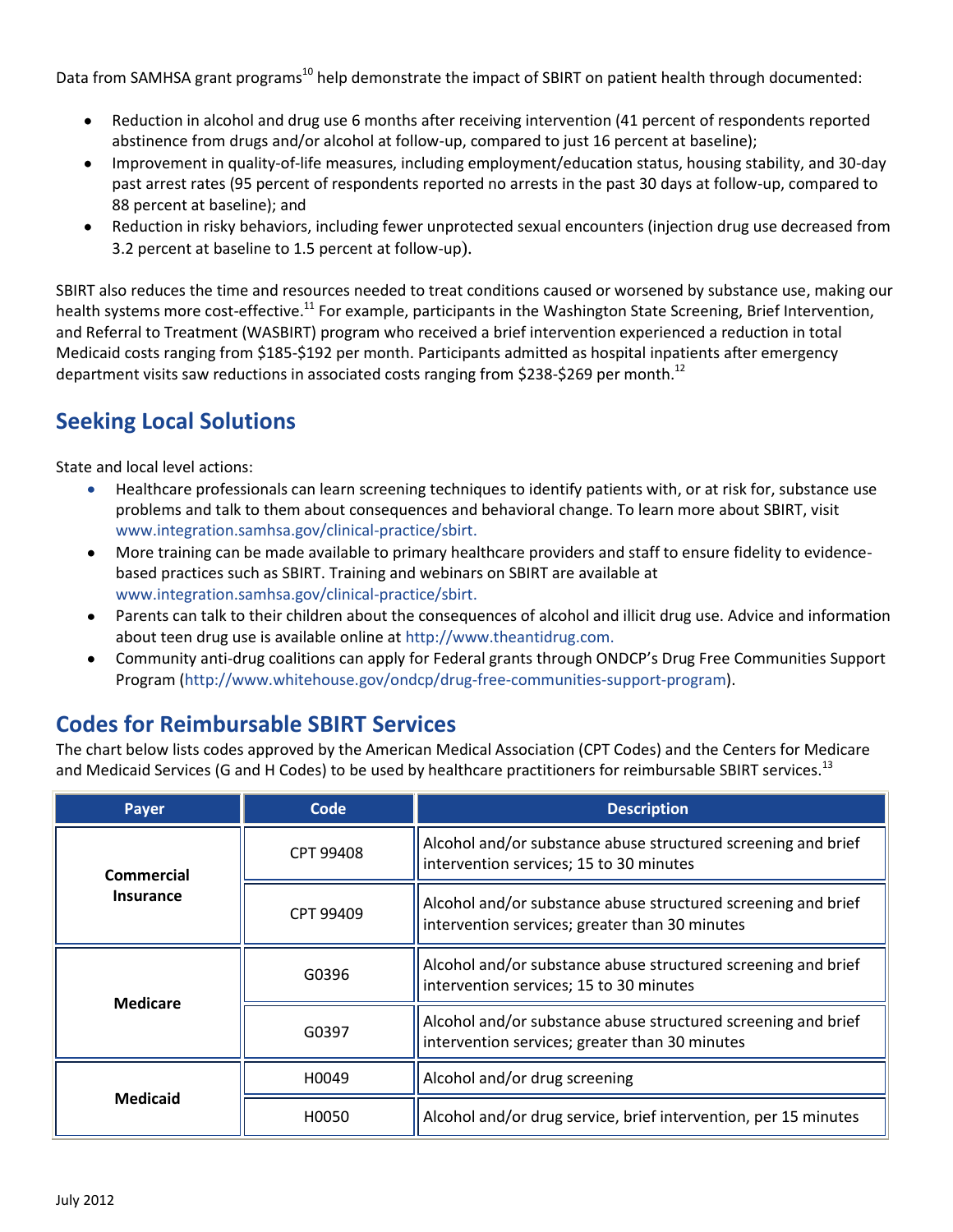Data from SAMHSA grant programs<sup>10</sup> help demonstrate the impact of SBIRT on patient health through documented:

- Reduction in alcohol and drug use 6 months after receiving intervention (41 percent of respondents reported  $\bullet$ abstinence from drugs and/or alcohol at follow-up, compared to just 16 percent at baseline);
- Improvement in quality-of-life measures, including employment/education status, housing stability, and 30-day past arrest rates (95 percent of respondents reported no arrests in the past 30 days at follow-up, compared to 88 percent at baseline); and
- Reduction in risky behaviors, including fewer unprotected sexual encounters (injection drug use decreased from  $\bullet$ 3.2 percent at baseline to 1.5 percent at follow-up).

SBIRT also reduces the time and resources needed to treat conditions caused or worsened by substance use, making our health systems more cost-effective.<sup>11</sup> For example, participants in the Washington State Screening, Brief Intervention, and Referral to Treatment (WASBIRT) program who received a brief intervention experienced a reduction in total Medicaid costs ranging from \$185-\$192 per month. Participants admitted as hospital inpatients after emergency department visits saw reductions in associated costs ranging from \$238-\$269 per month.<sup>12</sup>

# **Seeking Local Solutions**

State and local level actions:

- Healthcare professionals can learn screening techniques to identify patients with, or at risk for, substance use  $\bullet$ problems and talk to them about consequences and behavioral change. To learn more about SBIRT, visit [www.integration.samhsa.gov/clinical-practice/sbirt.](file://SFDCP03/HOMEDIR/ONDCP/Watson_JP/Workfile/Publications/Fact%20Sheets/SBIRT%20fact%20sheets/1%20General%20SBIRT/ONDCP-SAMHSA%20Version/www.integration.samhsa.gov/clinical-practice/sbirt.)
- More training can be made available to primary healthcare providers and staff to ensure fidelity to evidencebased practices such as SBIRT. Training and webinars on SBIRT are available at [www.integration.samhsa.gov/clinical-practice/sbirt.](file://SFDCP03/HOMEDIR/ONDCP/Watson_JP/Workfile/Publications/Fact%20Sheets/SBIRT%20fact%20sheets/1%20General%20SBIRT/ONDCP-SAMHSA%20Version/www.integration.samhsa.gov/clinical-practice/sbirt.)
- Parents can talk to their children about the consequences of alcohol and illicit drug use. Advice and information about teen drug use is available online at [http://www.theantidrug.com.](http://www.theantidrug.com/)
- Community anti-drug coalitions can apply for Federal grants through ONDCP's Drug Free Communities Support Program [\(http://www.whitehouse.gov/ondcp/drug-free-communities-support-program\)](http://www.whitehouse.gov/ondcp/drug-free-communities-support-program).

# **Codes for Reimbursable SBIRT Services**

The chart below lists codes approved by the American Medical Association (CPT Codes) and the Centers for Medicare and Medicaid Services (G and H Codes) to be used by healthcare practitioners for reimbursable SBIRT services.<sup>13</sup>

| Payer                          | Code      | <b>Description</b>                                                                                              |
|--------------------------------|-----------|-----------------------------------------------------------------------------------------------------------------|
| Commercial<br><b>Insurance</b> | CPT 99408 | Alcohol and/or substance abuse structured screening and brief<br>intervention services; 15 to 30 minutes        |
|                                | CPT 99409 | Alcohol and/or substance abuse structured screening and brief<br>intervention services; greater than 30 minutes |
| <b>Medicare</b>                | G0396     | Alcohol and/or substance abuse structured screening and brief<br>intervention services; 15 to 30 minutes        |
|                                | G0397     | Alcohol and/or substance abuse structured screening and brief<br>intervention services; greater than 30 minutes |
| <b>Medicaid</b>                | H0049     | Alcohol and/or drug screening                                                                                   |
|                                | H0050     | Alcohol and/or drug service, brief intervention, per 15 minutes                                                 |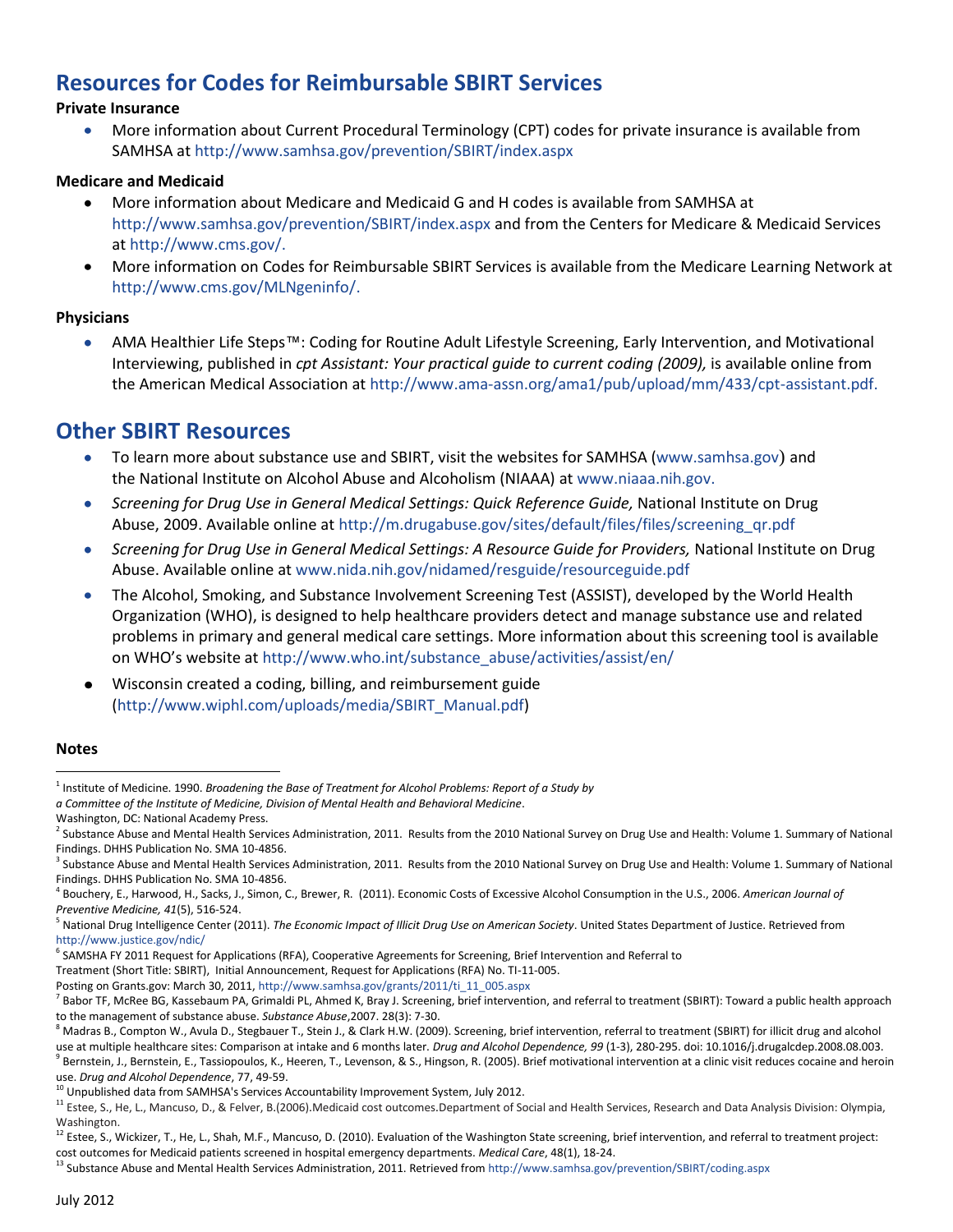## **Resources for Codes for Reimbursable SBIRT Services**

#### **Private Insurance**

More information about Current Procedural Terminology (CPT) codes for private insurance is available from  $\bullet$ SAMHSA at<http://www.samhsa.gov/prevention/SBIRT/index.aspx>

#### **Medicare and Medicaid**

- $\bullet$ More information about Medicare and Medicaid G and H codes is available from SAMHSA at <http://www.samhsa.gov/prevention/SBIRT/index.aspx> and from the Centers for Medicare & Medicaid Services a[t http://www.cms.gov/.](http://www.cms.gov/)
- More information on Codes for Reimbursable SBIRT Services is available from the Medicare Learning Network at [http://www.cms.gov/MLNgeninfo/.](http://www.cms.gov/MLNgeninfo/)

#### **Physicians**

AMA Healthier Life Steps™: Coding for Routine Adult Lifestyle Screening, Early Intervention, and Motivational Interviewing, published in *cpt Assistant: Your practical guide to current coding (2009),* is available online from the American Medical Association a[t http://www.ama-assn.org/ama1/pub/upload/mm/433/cpt-assistant.pdf.](http://www.ama-assn.org/ama1/pub/upload/mm/433/cpt-assistant.pdf)

#### **Other SBIRT Resources**

- To learn more about substance use and SBIRT, visit the websites for SAMHSA [\(www.samhsa.gov](http://www.samhsa.gov/)) and  $\bullet$ the National Institute on Alcohol Abuse and Alcoholism (NIAAA) a[t www.niaaa.nih.gov.](http://www.niaaa.nih.gov/)
- *Screening for Drug Use in General Medical Settings: Quick Reference Guide,* National Institute on Drug Abuse, 2009. Available online a[t http://m.drugabuse.gov/sites/default/files/files/screening\\_qr.pdf](http://m.drugabuse.gov/sites/default/files/files/screening_qr.pdf)
- *Screening for Drug Use in General Medical Settings: A Resource Guide for Providers,* National Institute on Drug Abuse. Available online at [www.nida.nih.gov/nidamed/resguide/resourceguide.pdf](http://www.nida.nih.gov/nidamed/resguide/resourceguide.pdf)
- The Alcohol, Smoking, and Substance Involvement Screening Test (ASSIST), developed by the World Health Organization (WHO), is designed to help healthcare providers detect and manage substance use and related problems in primary and general medical care settings. More information about this screening tool is available on WHO's website at [http://www.who.int/substance\\_abuse/activities/assist/en/](http://www.who.int/substance_abuse/activities/assist/en/)
- Wisconsin created a coding, billing, and reimbursement guide  $\bullet$ [\(http://www.wiphl.com/uploads/media/SBIRT\\_Manual.pdf\)](http://www.wiphl.com/uploads/media/SBIRT_Manual.pdf)

#### **Notes**

<sup>6</sup> SAMSHA FY 2011 Request for Applications (RFA), Cooperative Agreements for Screening, Brief Intervention and Referral to

 $\overline{a}$ 1 Institute of Medicine. 1990. *Broadening the Base of Treatment for Alcohol Problems: Report of a Study by*

*a Committee of the Institute of Medicine, Division of Mental Health and Behavioral Medicine*.

Washington, DC: National Academy Press.

<sup>&</sup>lt;sup>2</sup> Substance Abuse and Mental Health Services Administration, 2011. Results from the 2010 National Survey on Drug Use and Health: Volume 1. Summary of National Findings. DHHS Publication No. SMA 10-4856.

<sup>&</sup>lt;sup>3</sup> Substance Abuse and Mental Health Services Administration, 2011. Results from the 2010 National Survey on Drug Use and Health: Volume 1. Summary of National Findings. DHHS Publication No. SMA 10-4856.

<sup>4</sup> Bouchery, E., Harwood, H., Sacks, J., Simon, C., Brewer, R. (2011). Economic Costs of Excessive Alcohol Consumption in the U.S., 2006. *American Journal of Preventive Medicine, 41*(5), 516-524.

<sup>&</sup>lt;sup>5</sup> National Drug Intelligence Center (2011). The Economic Impact of Illicit Drug Use on American Society. United States Department of Justice. Retrieved from <http://www.justice.gov/ndic/>

Treatment (Short Title: SBIRT), Initial Announcement, Request for Applications (RFA) No. TI-11-005.

Posting on Grants.gov: March 30, 2011, http://www.samhsa.gov/grants/2011/ti\_11\_005.aspx

<sup>&</sup>lt;sup>7</sup> Babor TF, McRee BG, Kassebaum PA, Grimaldi PL, Ahmed K, Bray J. Screening, brief intervention, and referral to treatment (SBIRT): Toward a public health approach to the management of substance abuse. *Substance Abuse*,2007. 28(3): 7-30.

<sup>&</sup>lt;sup>8</sup> Madras B., Compton W., Avula D., Stegbauer T., Stein J., & Clark H.W. (2009). Screening, brief intervention, referral to treatment (SBIRT) for illicit drug and alcohol use at multiple healthcare sites: Comparison at intake and 6 months later. *Drug and Alcohol Dependence, 99* (1-3), 280-295. doi: 10.1016/j.drugalcdep.2008.08.003.  $^9$  Bernstein, J., Bernstein, E., Tassiopoulos, K., Heeren, T., Levenson, & S., Hingson, R. (2005). Brief motivational intervention at a clinic visit reduces cocaine and heroin use. *Drug and Alcohol Dependence*, 77, 49-59.

<sup>10</sup> Unpublished data from SAMHSA's Services Accountability Improvement System, July 2012.

<sup>&</sup>lt;sup>11</sup> Estee, S., He, L., Mancuso, D., & Felver, B.(2006).Medicaid cost outcomes.Department of Social and Health Services, Research and Data Analysis Division: Olympia, Washington.

<sup>&</sup>lt;sup>12</sup> Estee, S., Wickizer, T., He, L., Shah, M.F., Mancuso, D. (2010). Evaluation of the Washington State screening, brief intervention, and referral to treatment project: cost outcomes for Medicaid patients screened in hospital emergency departments. *Medical Care*, 48(1), 18-24.

<sup>13</sup> Substance Abuse and Mental Health Services Administration, 2011. Retrieved from <http://www.samhsa.gov/prevention/SBIRT/coding.aspx>